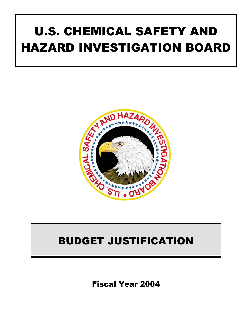# U.S. CHEMICAL SAFETY AND HAZARD INVESTIGATION BOARD



## BUDGET JUSTIFICATION

Fiscal Year 2004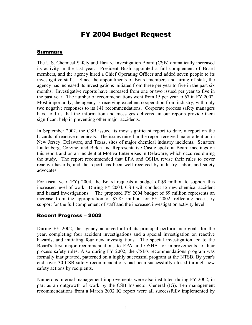### FY 2004 Budget Request

#### **Summary**

The U.S. Chemical Safety and Hazard Investigation Board (CSB) dramatically increased its activity in the last year. President Bush appointed a full complement of Board members, and the agency hired a Chief Operating Officer and added seven people to its investigative staff. Since the appointments of Board members and hiring of staff, the agency has increased its investigations initiated from three per year to five in the past six months. Investigative reports have increased from one or two issued per year to five in the past year. The number of recommendations went from 15 per year to 67 in FY 2002. Most importantly, the agency is receiving excellent cooperation from industry, with only two negative responses to its 141 recommendations. Corporate process safety managers have told us that the information and messages delivered in our reports provide them significant help in preventing other major accidents.

In September 2002, the CSB issued its most significant report to date, a report on the hazards of reactive chemicals. The issues raised in the report received major attention in New Jersey, Delaware, and Texas, sites of major chemical industry incidents. Senators Lautenberg, Corzine, and Biden and Representative Castle spoke at Board meetings on this report and on an incident at Motiva Enterprises in Delaware, which occurred during the study. The report recommended that EPA and OSHA revise their rules to cover reactive hazards, and the report has been well received by industry, labor, and safety advocates.

For fiscal year (FY) 2004, the Board requests a budget of \$9 million to support this increased level of work. During FY 2004, CSB will conduct 12 new chemical accident and hazard investigations. The proposed FY 2004 budget of \$9 million represents an increase from the appropriation of \$7.85 million for FY 2002, reflecting necessary support for the full complement of staff and the increased investigation activity level.

#### Recent Progress – 2002

During FY 2002, the agency achieved all of its principal performance goals for the year, completing four accident investigations and a special investigation on reactive hazards, and initiating four new investigations. The special investigation led to the Board's first major recommendations to EPA and OSHA for improvements to their process safety rules. Also during FY 2002, the CSB's recommendations program was formally inaugurated, patterned on a highly successful program at the NTSB. By year's end, over 30 CSB safety recommendations had been successfully closed through new safety actions by recipients.

Numerous internal management improvements were also instituted during FY 2002, in part as an outgrowth of work by the CSB Inspector General (IG). Ten management recommendations from a March 2002 IG report were all successfully implemented by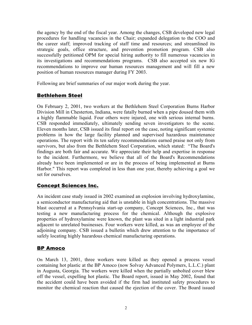the agency by the end of the fiscal year. Among the changes, CSB developed new legal procedures for handling vacancies in the Chair; expanded delegation to the COO and the career staff; improved tracking of staff time and resources; and streamlined its strategic goals, office structure, and prevention promotion program. CSB also successfully petitioned OPM for special hiring authority to fill numerous vacancies in its investigations and recommendations programs. CSB also accepted six new IG recommendations to improve our human resources management and will fill a new position of human resources manager during FY 2003.

Following are brief summaries of our major work during the year.

#### Bethlehem Steel

On February 2, 2001, two workers at the Bethlehem Steel Corporation Burns Harbor Division Mill in Chesterton, Indiana, were fatally burned when a pipe doused them with a highly flammable liquid. Four others were injured, one with serious internal burns. CSB responded immediately, ultimately sending seven investigators to the scene. Eleven months later, CSB issued its final report on the case, noting significant systemic problems in how the large facility planned and supervised hazardous maintenance operations. The report with its ten safety recommendations earned praise not only from survivors, but also from the Bethlehem Steel Corporation, which stated: "The Board's findings are both fair and accurate. We appreciate their help and expertise in response to the incident. Furthermore, we believe that all of the Board's Recommendations already have been implemented or are in the process of being implemented at Burns Harbor." This report was completed in less than one year, thereby achieving a goal we set for ourselves.

#### Concept Sciences Inc.

An incident case study issued in 2002 examined an explosion involving hydroxylamine, a semiconductor manufacturing aid that is unstable in high concentrations. The massive blast occurred at a Pennsylvania start-up company, Concept Sciences, Inc., that was testing a new manufacturing process for the chemical. Although the explosive properties of hydroxylamine were known, the plant was sited in a light industrial park adjacent to unrelated businesses. Four workers were killed, as was an employee of the adjoining company. CSB issued a bulletin which drew attention to the importance of safely locating highly hazardous chemical manufacturing operations.

#### BP Amoco

On March 13, 2001, three workers were killed as they opened a process vessel containing hot plastic at the BP Amoco (now Solvay Advanced Polymers, L.L.C.) plant in Augusta, Georgia. The workers were killed when the partially unbolted cover blew off the vessel, expelling hot plastic. The Board report, issued in May 2002, found that the accident could have been avoided if the firm had instituted safety procedures to monitor the chemical reaction that caused the ejection of the cover. The Board issued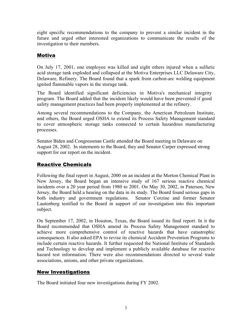eight specific recommendations to the company to prevent a similar incident in the future and urged other interested organizations to communicate the results of the investigation to their members.

#### Motiva

On July 17, 2001, one employee was killed and eight others injured when a sulfuric acid storage tank exploded and collapsed at the Motiva Enterprises LLC Delaware City, Delaware, Refinery. The Board found that a spark from carbon-arc welding equipment ignited flammable vapors in the storage tank.

The Board identified significant deficiencies in Motiva's mechanical integrity program. The Board added that the incident likely would have been prevented if good safety management practices had been properly implemented at the refinery.

Among several recommendations to the Company, the American Petroleum Institute, and others, the Board urged OSHA to extend its Process Safety Management standard to cover atmospheric storage tanks connected to certain hazardous manufacturing processes.

Senator Biden and Congressman Castle attended the Board meeting in Delaware on August 28, 2002. In statements to the Board, they and Senator Carper expressed strong support for our report on the incident.

#### Reactive Chemicals

Following the final report in August, 2000 on an incident at the Morton Chemical Plant in New Jersey, the Board began an intensive study of 167 serious reactive chemical incidents over a 20 year period from 1980 to 2001. On May 30, 2002, in Paterson, New Jersey, the Board held a hearing on the data in its study. The Board found serious gaps in both industry and government regulations. Senator Corzine and former Senator Lautenberg testified to the Board in support of our investigation into this important subject.

On September 17, 2002, in Houston, Texas, the Board issued its final report. In it the Board recommended that OSHA amend its Process Safety Management standard to achieve more comprehensive control of reactive hazards that have catastrophic consequences. It also asked EPA to revise its chemical Accident Prevention Programs to include certain reactive hazards. It further requested the National Institute of Standards and Technology to develop and implement a publicly available database for reactive hazard test information. There were also recommendations directed to several trade associations, unions, and other private organizations.

#### New Investigations

The Board initiated four new investigations during FY 2002.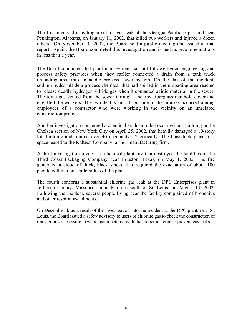The first involved a hydrogen sulfide gas leak at the Georgia Pacific paper mill near Pennington, Alabama, on January 11, 2002, that killed two workers and injured a dozen others. On November 20, 2002, the Board held a public meeting and issued a final report. Again, the Board completed this investigation and issued its recommendations in less than a year.

The Board concluded that plant management had not followed good engineering and process safety practices when they earlier connected a drain from a tank truck unloading area into an acidic process sewer system. On the day of the incident, sodium hydrosulfide a process chemical that had spilled in the unloading area reacted to release deadly hydrogen sulfide gas when it contacted acidic material in the sewer. The toxic gas vented from the sewer through a nearby fiberglass manhole cover and engulfed the workers. The two deaths and all but one of the injuries occurred among employees of a contractor who were working in the vicinity on an unrelated construction project.

Another investigation concerned a chemical explosion that occurred in a building in the Chelsea section of New York City on April 25, 2002, that heavily damaged a 10-story loft building and injured over 40 occupants, 12 critically. The blast took place in a space leased to the Kaltech Company, a sign-manufacturing firm.

A third investigation involves a chemical plant fire that destroyed the facilities of the Third Coast Packaging Company near Houston, Texas, on May 1, 2002. The fire generated a cloud of thick, black smoke that required the evacuation of about 100 people within a one-mile radius of the plant.

The fourth concerns a substantial chlorine gas leak at the DPC Enterprises plant in Jefferson County, Missouri, about 30 miles south of St. Louis, on August 14, 2002. Following the incident, several people living near the facility complained of bronchitis and other respiratory ailments.

On December 4, as a result of the investigation into the incident at the DPC plant, near St. Louis, the Board issued a safety advisory to users of chlorine gas to check the construction of transfer hoses to assure they are manufactured with the proper material to prevent gas leaks.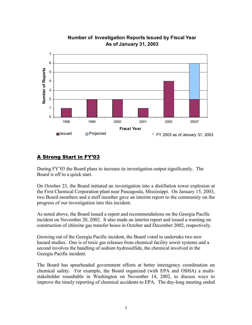

#### **Number of Investigation Reports Issued by Fiscal Year As of January 31, 2003**

#### A Strong Start in FY'03

During FY'03 the Board plans to increase its investigation output significantly. The Board is off to a quick start.

On October 23, the Board initiated an investigation into a distillation tower explosion at the First Chemical Corporation plant near Pascagoula, Mississippi. On January 15, 2003, two Board members and a staff member gave an interim report to the community on the progress of our investigation into this incident.

As noted above, the Board issued a report and recommendations on the Georgia Pacific incident on November 20, 2002. It also made an interim report and issued a warning on construction of chlorine gas transfer hoses in October and December 2002, respectively.

Growing out of the Georgia Pacific incident, the Board voted to undertake two new hazard studies. One is of toxic gas releases from chemical facility sewer systems and a second involves the handling of sodium hydrosulfide, the chemical involved in the Georgia Pacific incident.

The Board has spearheaded government efforts at better interagency coordination on chemical safety. For example, the Board organized (with EPA and OSHA) a multistakeholder roundtable in Washington on November 14, 2002, to discuss ways to improve the timely reporting of chemical accidents to EPA. The day-long meeting ended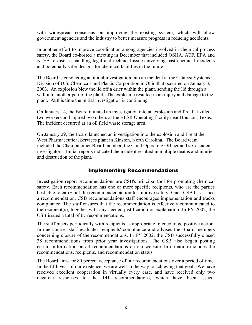with widespread consensus on improving the existing system, which will allow government agencies and the industry to better measure progress in reducing accidents.

In another effort to improve coordination among agencies involved in chemical process safety, the Board co-hosted a meeting in December that included OSHA, ATF, EPA and NTSB to discuss handling legal and technical issues involving past chemical incidents and potentially safer designs for chemical facilities in the future.

The Board is conducting an initial investigation into an incident at the Catalyst Systems Division of U.S. Chemicals and Plastic Corporation in Ohio that occurred on January 3, 2003. An explosion blew the lid off a drier within the plant, sending the lid through a wall into another part of the plant. The explosion resulted in an injury and damage to the plant. At this time the initial investigation is continuing

On January 14, the Board initiated an investigation into an explosion and fire that killed two workers and injured two others at the BLSR Operating facility near Houston, Texas. The incident occurred at an oil field waste storage area.

On January 29, the Board launched an investigation into the explosion and fire at the West Pharmaceutical Services plant in Kinston, North Carolina. The Board team included the Chair, another Board member, the Chief Operating Officer and six accident investigators. Initial reports indicated the incident resulted in multiple deaths and injuries and destruction of the plant.

#### Implementing Recommendations

Investigation report recommendations are CSB's principal tool for promoting chemical safety. Each recommendation has one or more specific recipients, who are the parties best able to carry out the recommended action to improve safety. Once CSB has issued a recommendation, CSB recommendations staff encourages implementation and tracks compliance. The staff ensures that the recommendation is effectively communicated to the recipient(s), together with any needed justification or explanation. In FY 2002, the CSB issued a total of 67 recommendations.

The staff meets periodically with recipients as appropriate to encourage positive action. In due course, staff evaluates recipients' compliance and advises the Board members concerning closure of the recommendations. In FY 2002, the CSB successfully closed 38 recommendations from prior year investigations. The CSB also began posting certain information on all recommendations on our website. Information includes the recommendations, recipients, and recommendation status.

The Board aims for 80 percent acceptance of our recommendations over a period of time. In the fifth year of our existence, we are well in the way to achieving that goal. We have received excellent cooperation in virtually every case, and have received only two negative responses to the 141 recommendations, which have been issued.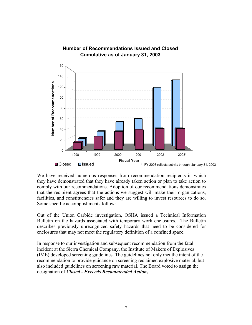

We have received numerous responses from recommendation recipients in which they have demonstrated that they have already taken action or plan to take action to comply with our recommendations. Adoption of our recommendations demonstrates that the recipient agrees that the actions we suggest will make their organizations, facilities, and constituencies safer and they are willing to invest resources to do so. Some specific accomplishments follow:

Out of the Union Carbide investigation, OSHA issued a Technical Information Bulletin on the hazards associated with temporary work enclosures. The Bulletin describes previously unrecognized safety hazards that need to be considered for enclosures that may not meet the regulatory definition of a confined space.

In response to our investigation and subsequent recommendation from the fatal incident at the Sierra Chemical Company, the Institute of Makers of Explosives (IME) developed screening guidelines. The guidelines not only met the intent of the recommendation to provide guidance on screening reclaimed explosive material, but also included guidelines on screening raw material. The Board voted to assign the designation of *Closed - Exceeds Recommended Action,*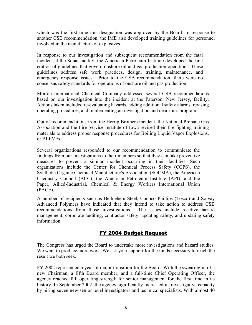which was the first time this designation was approved by the Board. In response to another CSB recommendation, the IME also developed training guidelines for personnel involved in the manufacture of explosives.

In response to our investigation and subsequent recommendation from the fatal incident at the Sonat facility, the American Petroleum Institute developed the first edition of guidelines that govern onshore oil and gas production operations. These guidelines address safe work practices, design, training, maintenance, and emergency response issues. Prior to the CSB recommendation, there were no consensus safety standards for operations of onshore oil and gas production.

Morton International Chemical Company addressed several CSB recommendations based on our investigation into the incident at the Paterson, New Jersey, facility. Actions taken included re-evaluating hazards, adding additional safety alarms, revising operating procedures, and implementing an investigation and near-miss program.

Out of recommendations from the Herrig Brothers incident, the National Propane Gas Association and the Fire Service Institute of Iowa revised their fire fighting training materials to address proper response procedures for Boiling Liquid Vapor Explosions, or BLEVEs.

Several organizations responded to our recommendation to communicate the findings from our investigations to their members so that they can take preventive measures to prevent a similar incident occurring in their facilities. Such organizations include the Center for Chemical Process Safety (CCPS), the Synthetic Organic Chemical Manufacturer's Association (SOCMA), the American Chemistry Council (ACC), the American Petroleum Institute (API), and the Paper, Allied-Industrial, Chemical & Energy Workers International Union (PACE).

A number of recipients such as Bethlehem Steel, Conoco Phillips (Tosco) and Solvay Advanced Polymers have indicated that they intend to take action to address CSB recommendations from those investigations. The issues include reactive hazard management, corporate auditing, contractor safety, updating safety, and updating safety information

#### FY 2004 Budget Request

The Congress has urged the Board to undertake more investigations and hazard studies. We want to produce more work. We ask your support for the funds necessary to reach the result we both seek.

FY 2002 represented a year of major transition for the Board. With the swearing in of a new Chairman, a fifth Board member, and a full-time Chief Operating Officer, the agency reached full operating strength for senior management for the first time in its history. In September 2002, the agency significantly increased its investigative capacity by hiring seven new senior level investigators and technical specialists. With almost 40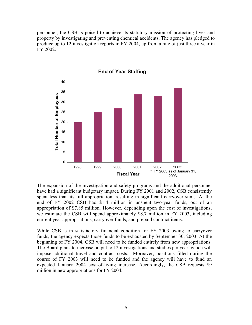personnel, the CSB is poised to achieve its statutory mission of protecting lives and property by investigating and preventing chemical accidents. The agency has pledged to produce up to 12 investigation reports in FY 2004, up from a rate of just three a year in FY 2002.



#### **End of Year Staffing**

The expansion of the investigation and safety programs and the additional personnel have had a significant budgetary impact. During FY 2001 and 2002, CSB consistently spent less than its full appropriation, resulting in significant carryover sums. At the end of FY 2002 CSB had \$1.4 million in unspent two-year funds, out of an appropriation of \$7.85 million. However, depending upon the cost of investigations, we estimate the CSB will spend approximately \$8.7 million in FY 2003, including current year appropriations, carryover funds, and prepaid contract items.

While CSB is in satisfactory financial condition for FY 2003 owing to carryover funds, the agency expects those funds to be exhausted by September 30, 2003. At the beginning of FY 2004, CSB will need to be funded entirely from new appropriations. The Board plans to increase output to 12 investigations and studies per year, which will impose additional travel and contract costs. Moreover, positions filled during the course of FY 2003 will need to be funded and the agency will have to fund an expected January 2004 cost-of-living increase. Accordingly, the CSB requests \$9 million in new appropriations for FY 2004.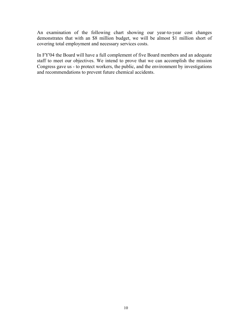An examination of the following chart showing our year-to-year cost changes demonstrates that with an \$8 million budget, we will be almost \$1 million short of covering total employment and necessary services costs.

In FY'04 the Board will have a full complement of five Board members and an adequate staff to meet our objectives. We intend to prove that we can accomplish the mission Congress gave us - to protect workers, the public, and the environment by investigations and recommendations to prevent future chemical accidents.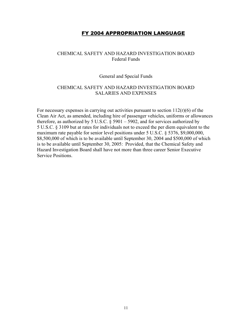#### FY 2004 APPROPRIATION LANGUAGE

#### CHEMICAL SAFETY AND HAZARD INVESTIGATION BOARD Federal Funds

#### General and Special Funds

#### CHEMICAL SAFETY AND HAZARD INVESTIGATION BOARD SALARIES AND EXPENSES

For necessary expenses in carrying out activities pursuant to section  $112(r)(6)$  of the Clean Air Act, as amended, including hire of passenger vehicles, uniforms or allowances therefore, as authorized by 5 U.S.C.  $\S$  5901 – 5902, and for services authorized by 5 U.S.C. § 3109 but at rates for individuals not to exceed the per diem equivalent to the maximum rate payable for senior level positions under 5 U.S.C. § 5376, \$9,000,000, \$8,500,000 of which is to be available until September 30, 2004 and \$500,000 of which is to be available until September 30, 2005: Provided, that the Chemical Safety and Hazard Investigation Board shall have not more than three career Senior Executive Service Positions.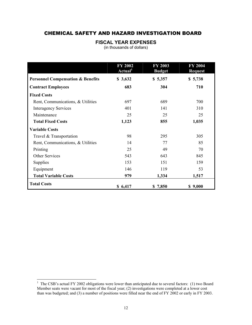#### CHEMICAL SAFETY AND HAZARD INVESTIGATION BOARD

#### **FISCAL YEAR EXPENSES**

(in thousands of dollars)

|                                              | <b>FY 2002</b><br>Actual <sup>1</sup> | <b>FY 2003</b><br><b>Budget</b> | <b>FY 2004</b><br><b>Request</b> |
|----------------------------------------------|---------------------------------------|---------------------------------|----------------------------------|
| <b>Personnel Compensation &amp; Benefits</b> | \$3,632                               | \$5,357                         | \$5,738                          |
| <b>Contract Employees</b>                    | 683                                   | 304                             | 710                              |
| <b>Fixed Costs</b>                           |                                       |                                 |                                  |
| Rent, Communications, & Utilities            | 697                                   | 689                             | 700                              |
| <b>Interagency Services</b>                  | 401                                   | 141                             | 310                              |
| Maintenance                                  | 25                                    | 25                              | 25                               |
| <b>Total Fixed Costs</b>                     | 1,123                                 | 855                             | 1,035                            |
| <b>Variable Costs</b>                        |                                       |                                 |                                  |
| Travel & Transportation                      | 98                                    | 295                             | 305                              |
| Rent, Communications, & Utilities            | 14                                    | 77                              | 85                               |
| Printing                                     | 25                                    | 49                              | 70                               |
| Other Services                               | 543                                   | 643                             | 845                              |
| <b>Supplies</b>                              | 153                                   | 151                             | 159                              |
| Equipment                                    | 146                                   | 119                             | 53                               |
| <b>Total Variable Costs</b>                  | 979                                   | 1,334                           | 1,517                            |
| <b>Total Costs</b>                           | \$6,417                               | \$7,850                         | \$9,000                          |

<span id="page-12-0"></span> $\frac{1}{1}$ <sup>1</sup> The CSB's actual FY 2002 obligations were lower than anticipated due to several factors: (1) two Board Member seats were vacant for most of the fiscal year; (2) investigations were completed at a lower cost than was budgeted; and (3) a number of positions were filled near the end of FY 2002 or early in FY 2003.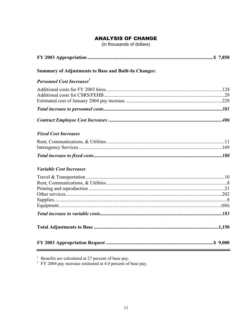#### **ANALYSIS OF CHANGE**

(in thousands of dollars)

| <b>Summary of Adjustments to Base and Built-In Changes:</b> |  |
|-------------------------------------------------------------|--|
| <b>Personnel Cost Increases</b>                             |  |
|                                                             |  |
|                                                             |  |
|                                                             |  |
| <b>Fixed Cost Increases</b>                                 |  |
|                                                             |  |
|                                                             |  |
| <b>Variable Cost Increases</b>                              |  |
|                                                             |  |
|                                                             |  |
|                                                             |  |
|                                                             |  |

<sup>1</sup> Benefits are calculated at 27 percent of base pay.<br><sup>2</sup> FY 2004 pay increase estimated at 4.0 percent of base pay.